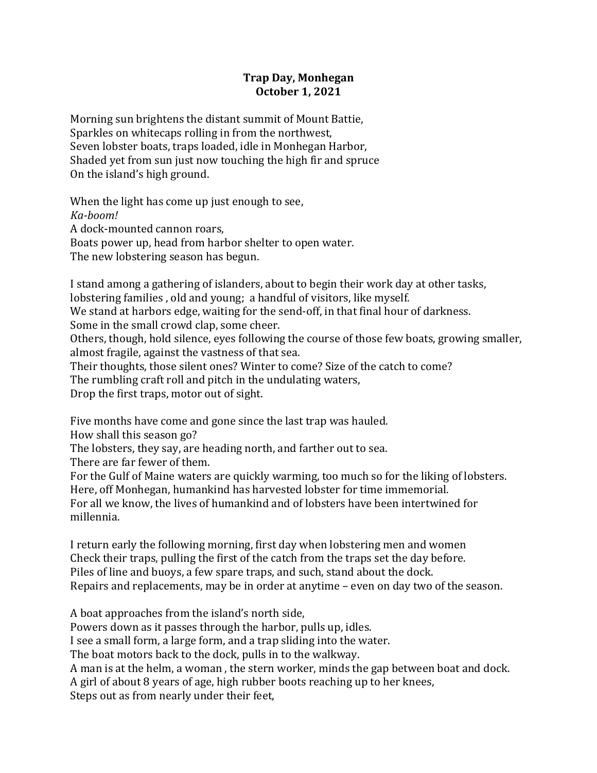## **Trap Day, Monhegan October 1, 2021**

Morning sun brightens the distant summit of Mount Battie, Sparkles on whitecaps rolling in from the northwest, Seven lobster boats, traps loaded, idle in Monhegan Harbor, Shaded yet from sun just now touching the high fir and spruce On the island's high ground.

When the light has come up just enough to see, *Ka-boom!*  A dock-mounted cannon roars, Boats power up, head from harbor shelter to open water. The new lobstering season has begun.

I stand among a gathering of islanders, about to begin their work day at other tasks, lobstering families, old and young; a handful of visitors, like myself. We stand at harbors edge, waiting for the send-off, in that final hour of darkness. Some in the small crowd clap, some cheer. Others, though, hold silence, eyes following the course of those few boats, growing smaller, almost fragile, against the vastness of that sea. Their thoughts, those silent ones? Winter to come? Size of the catch to come? The rumbling craft roll and pitch in the undulating waters, Drop the first traps, motor out of sight.

Five months have come and gone since the last trap was hauled.

How shall this season go?

The lobsters, they say, are heading north, and farther out to sea.

There are far fewer of them.

For the Gulf of Maine waters are quickly warming, too much so for the liking of lobsters. Here, off Monhegan, humankind has harvested lobster for time immemorial. For all we know, the lives of humankind and of lobsters have been intertwined for millennia.

I return early the following morning, first day when lobstering men and women Check their traps, pulling the first of the catch from the traps set the dav before. Piles of line and buoys, a few spare traps, and such, stand about the dock. Repairs and replacements, may be in order at anytime – even on day two of the season.

A boat approaches from the island's north side,

Powers down as it passes through the harbor, pulls up, idles.

I see a small form, a large form, and a trap sliding into the water.

The boat motors back to the dock, pulls in to the walkway.

A man is at the helm, a woman, the stern worker, minds the gap between boat and dock.

A girl of about 8 years of age, high rubber boots reaching up to her knees,

Steps out as from nearly under their feet,